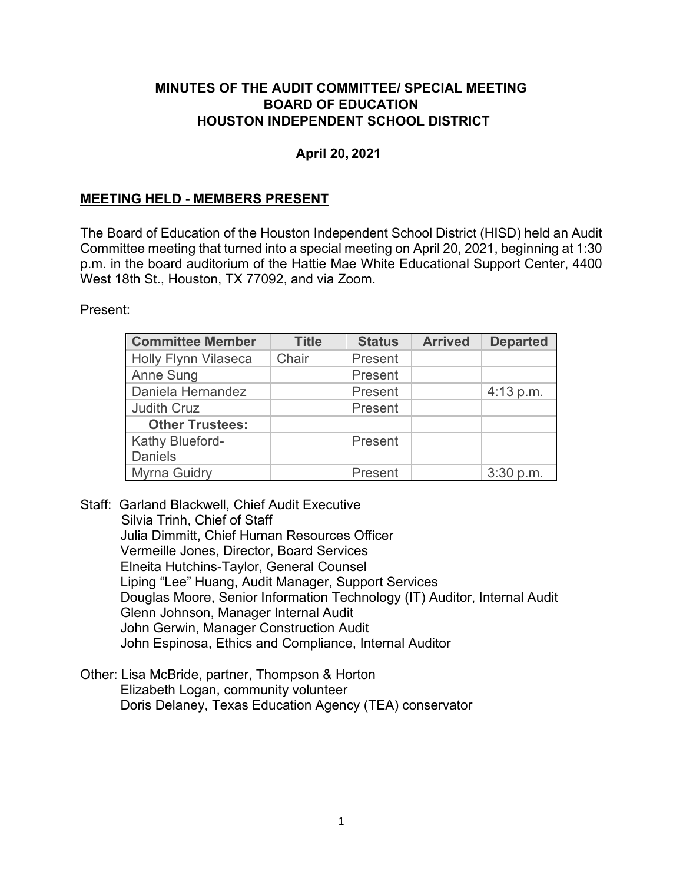## **MINUTES OF THE AUDIT COMMITTEE/ SPECIAL MEETING BOARD OF EDUCATION HOUSTON INDEPENDENT SCHOOL DISTRICT**

### **April 20, 2021**

## **MEETING HELD - MEMBERS PRESENT**

The Board of Education of the Houston Independent School District (HISD) held an Audit Committee meeting that turned into a special meeting on April 20, 2021, beginning at 1:30 p.m. in the board auditorium of the Hattie Mae White Educational Support Center, 4400 West 18th St., Houston, TX 77092, and via Zoom.

Present:

| <b>Committee Member</b>           | <b>Title</b> | <b>Status</b> | <b>Arrived</b> | <b>Departed</b> |
|-----------------------------------|--------------|---------------|----------------|-----------------|
| <b>Holly Flynn Vilaseca</b>       | Chair        | Present       |                |                 |
| Anne Sung                         |              | Present       |                |                 |
| Daniela Hernandez                 |              | Present       |                | 4:13 p.m.       |
| <b>Judith Cruz</b>                |              | Present       |                |                 |
| <b>Other Trustees:</b>            |              |               |                |                 |
| Kathy Blueford-<br><b>Daniels</b> |              | Present       |                |                 |
| Myrna Guidry                      |              | Present       |                | 3:30 p.m.       |

- Staff: Garland Blackwell, Chief Audit Executive Silvia Trinh, Chief of Staff Julia Dimmitt, Chief Human Resources Officer Vermeille Jones, Director, Board Services Elneita Hutchins-Taylor, General Counsel Liping "Lee" Huang, Audit Manager, Support Services Douglas Moore, Senior Information Technology (IT) Auditor, Internal Audit Glenn Johnson, Manager Internal Audit John Gerwin, Manager Construction Audit John Espinosa, Ethics and Compliance, Internal Auditor
- Other: Lisa McBride, partner, Thompson & Horton Elizabeth Logan, community volunteer Doris Delaney, Texas Education Agency (TEA) conservator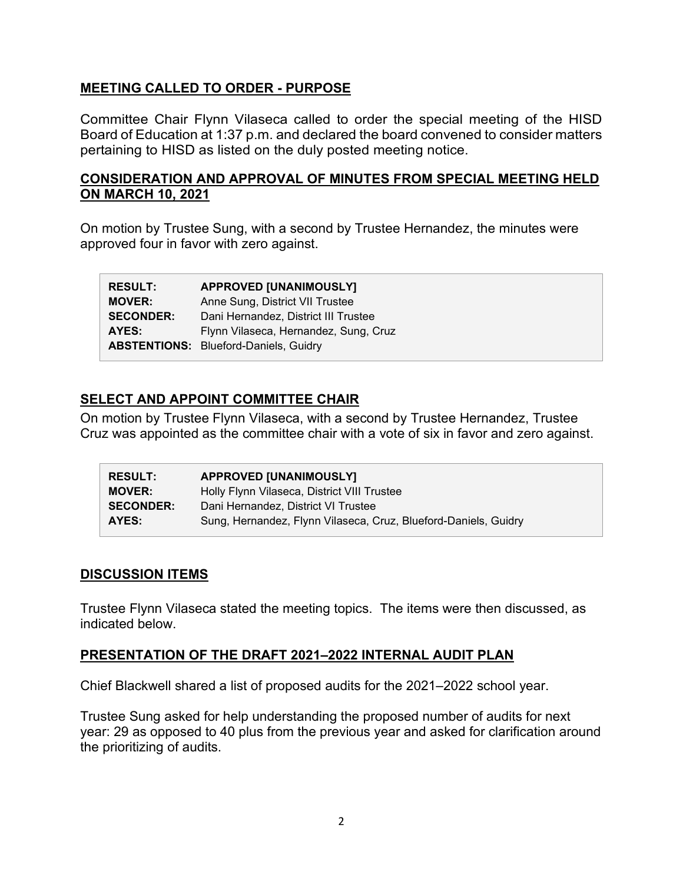# **MEETING CALLED TO ORDER - PURPOSE**

Committee Chair Flynn Vilaseca called to order the special meeting of the HISD Board of Education at 1:37 p.m. and declared the board convened to consider matters pertaining to HISD as listed on the duly posted meeting notice.

### **CONSIDERATION AND APPROVAL OF MINUTES FROM SPECIAL MEETING HELD ON MARCH 10, 2021**

On motion by Trustee Sung, with a second by Trustee Hernandez, the minutes were approved four in favor with zero against.

| <b>RESULT:</b>   | <b>APPROVED [UNANIMOUSLY]</b>                |
|------------------|----------------------------------------------|
| <b>MOVER:</b>    | Anne Sung, District VII Trustee              |
| <b>SECONDER:</b> | Dani Hernandez, District III Trustee         |
| AYES:            | Flynn Vilaseca, Hernandez, Sung, Cruz        |
|                  | <b>ABSTENTIONS: Blueford-Daniels, Guidry</b> |

## **SELECT AND APPOINT COMMITTEE CHAIR**

On motion by Trustee Flynn Vilaseca, with a second by Trustee Hernandez, Trustee Cruz was appointed as the committee chair with a vote of six in favor and zero against.

| <b>RESULT:</b>   | <b>APPROVED [UNANIMOUSLY]</b>                                   |
|------------------|-----------------------------------------------------------------|
| <b>MOVER:</b>    | Holly Flynn Vilaseca, District VIII Trustee                     |
| <b>SECONDER:</b> | Dani Hernandez. District VI Trustee                             |
| AYES:            | Sung, Hernandez, Flynn Vilaseca, Cruz, Blueford-Daniels, Guidry |

### **DISCUSSION ITEMS**

Trustee Flynn Vilaseca stated the meeting topics. The items were then discussed, as indicated below.

### **PRESENTATION OF THE DRAFT 2021–2022 INTERNAL AUDIT PLAN**

Chief Blackwell shared a list of proposed audits for the 2021–2022 school year.

Trustee Sung asked for help understanding the proposed number of audits for next year: 29 as opposed to 40 plus from the previous year and asked for clarification around the prioritizing of audits.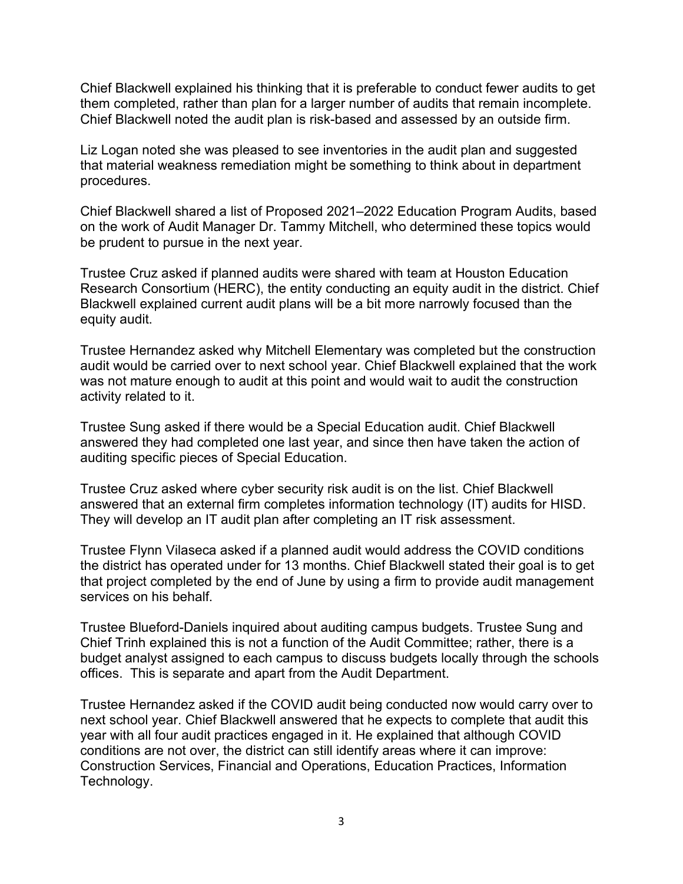Chief Blackwell explained his thinking that it is preferable to conduct fewer audits to get them completed, rather than plan for a larger number of audits that remain incomplete. Chief Blackwell noted the audit plan is risk-based and assessed by an outside firm.

Liz Logan noted she was pleased to see inventories in the audit plan and suggested that material weakness remediation might be something to think about in department procedures.

Chief Blackwell shared a list of Proposed 2021–2022 Education Program Audits, based on the work of Audit Manager Dr. Tammy Mitchell, who determined these topics would be prudent to pursue in the next year.

Trustee Cruz asked if planned audits were shared with team at Houston Education Research Consortium (HERC), the entity conducting an equity audit in the district. Chief Blackwell explained current audit plans will be a bit more narrowly focused than the equity audit.

Trustee Hernandez asked why Mitchell Elementary was completed but the construction audit would be carried over to next school year. Chief Blackwell explained that the work was not mature enough to audit at this point and would wait to audit the construction activity related to it.

Trustee Sung asked if there would be a Special Education audit. Chief Blackwell answered they had completed one last year, and since then have taken the action of auditing specific pieces of Special Education.

Trustee Cruz asked where cyber security risk audit is on the list. Chief Blackwell answered that an external firm completes information technology (IT) audits for HISD. They will develop an IT audit plan after completing an IT risk assessment.

Trustee Flynn Vilaseca asked if a planned audit would address the COVID conditions the district has operated under for 13 months. Chief Blackwell stated their goal is to get that project completed by the end of June by using a firm to provide audit management services on his behalf.

Trustee Blueford-Daniels inquired about auditing campus budgets. Trustee Sung and Chief Trinh explained this is not a function of the Audit Committee; rather, there is a budget analyst assigned to each campus to discuss budgets locally through the schools offices. This is separate and apart from the Audit Department.

Trustee Hernandez asked if the COVID audit being conducted now would carry over to next school year. Chief Blackwell answered that he expects to complete that audit this year with all four audit practices engaged in it. He explained that although COVID conditions are not over, the district can still identify areas where it can improve: Construction Services, Financial and Operations, Education Practices, Information Technology.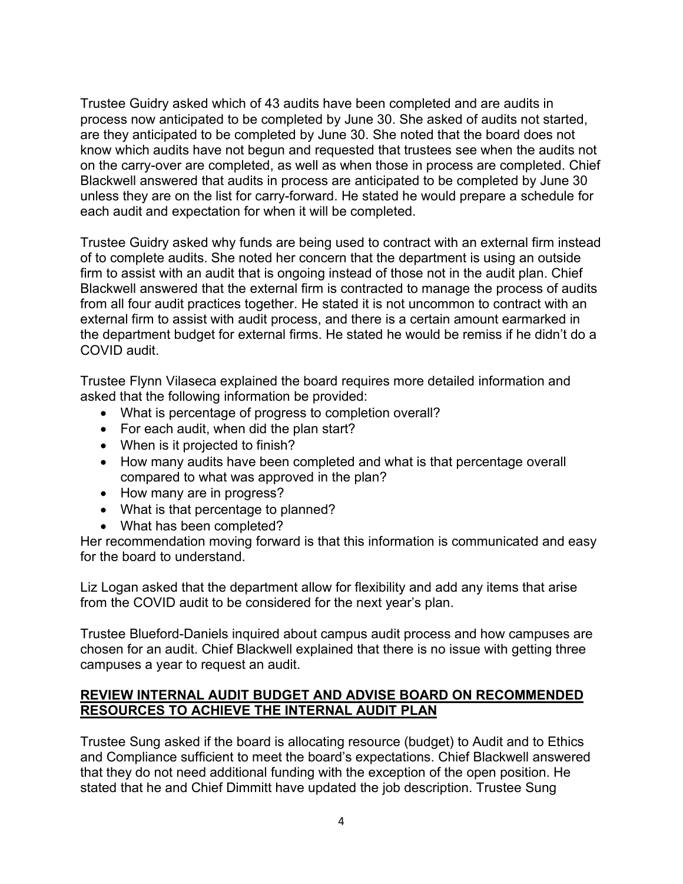Trustee Guidry asked which of 43 audits have been completed and are audits in process now anticipated to be completed by June 30. She asked of audits not started, are they anticipated to be completed by June 30. She noted that the board does not know which audits have not begun and requested that trustees see when the audits not on the carry-over are completed, as well as when those in process are completed. Chief Blackwell answered that audits in process are anticipated to be completed by June 30 unless they are on the list for carry-forward. He stated he would prepare a schedule for each audit and expectation for when it will be completed.

Trustee Guidry asked why funds are being used to contract with an external firm instead of to complete audits. She noted her concern that the department is using an outside firm to assist with an audit that is ongoing instead of those not in the audit plan. Chief Blackwell answered that the external firm is contracted to manage the process of audits from all four audit practices together. He stated it is not uncommon to contract with an external firm to assist with audit process, and there is a certain amount earmarked in the department budget for external firms. He stated he would be remiss if he didn't do a COVID audit.

Trustee Flynn Vilaseca explained the board requires more detailed information and asked that the following information be provided:

- What is percentage of progress to completion overall?
- For each audit, when did the plan start?
- When is it projected to finish?
- How many audits have been completed and what is that percentage overall compared to what was approved in the plan?
- How many are in progress?
- What is that percentage to planned?
- What has been completed?

Her recommendation moving forward is that this information is communicated and easy for the board to understand.

Liz Logan asked that the department allow for flexibility and add any items that arise from the COVID audit to be considered for the next year's plan.

Trustee Blueford-Daniels inquired about campus audit process and how campuses are chosen for an audit. Chief Blackwell explained that there is no issue with getting three campuses a year to request an audit.

# **REVIEW INTERNAL AUDIT BUDGET AND ADVISE BOARD ON RECOMMENDED RESOURCES TO ACHIEVE THE INTERNAL AUDIT PLAN**

Trustee Sung asked if the board is allocating resource (budget) to Audit and to Ethics and Compliance sufficient to meet the board's expectations. Chief Blackwell answered that they do not need additional funding with the exception of the open position. He stated that he and Chief Dimmitt have updated the job description. Trustee Sung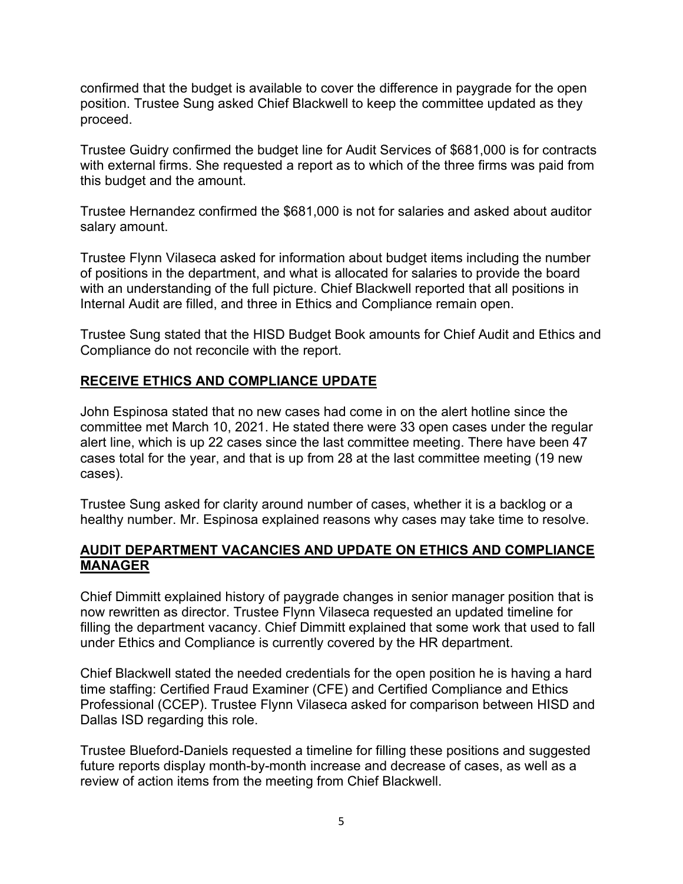confirmed that the budget is available to cover the difference in paygrade for the open position. Trustee Sung asked Chief Blackwell to keep the committee updated as they proceed.

Trustee Guidry confirmed the budget line for Audit Services of \$681,000 is for contracts with external firms. She requested a report as to which of the three firms was paid from this budget and the amount.

Trustee Hernandez confirmed the \$681,000 is not for salaries and asked about auditor salary amount.

Trustee Flynn Vilaseca asked for information about budget items including the number of positions in the department, and what is allocated for salaries to provide the board with an understanding of the full picture. Chief Blackwell reported that all positions in Internal Audit are filled, and three in Ethics and Compliance remain open.

Trustee Sung stated that the HISD Budget Book amounts for Chief Audit and Ethics and Compliance do not reconcile with the report.

# **RECEIVE ETHICS AND COMPLIANCE UPDATE**

John Espinosa stated that no new cases had come in on the alert hotline since the committee met March 10, 2021. He stated there were 33 open cases under the regular alert line, which is up 22 cases since the last committee meeting. There have been 47 cases total for the year, and that is up from 28 at the last committee meeting (19 new cases).

Trustee Sung asked for clarity around number of cases, whether it is a backlog or a healthy number. Mr. Espinosa explained reasons why cases may take time to resolve.

### **AUDIT DEPARTMENT VACANCIES AND UPDATE ON ETHICS AND COMPLIANCE MANAGER**

Chief Dimmitt explained history of paygrade changes in senior manager position that is now rewritten as director. Trustee Flynn Vilaseca requested an updated timeline for filling the department vacancy. Chief Dimmitt explained that some work that used to fall under Ethics and Compliance is currently covered by the HR department.

Chief Blackwell stated the needed credentials for the open position he is having a hard time staffing: Certified Fraud Examiner (CFE) and Certified Compliance and Ethics Professional (CCEP). Trustee Flynn Vilaseca asked for comparison between HISD and Dallas ISD regarding this role.

Trustee Blueford-Daniels requested a timeline for filling these positions and suggested future reports display month-by-month increase and decrease of cases, as well as a review of action items from the meeting from Chief Blackwell.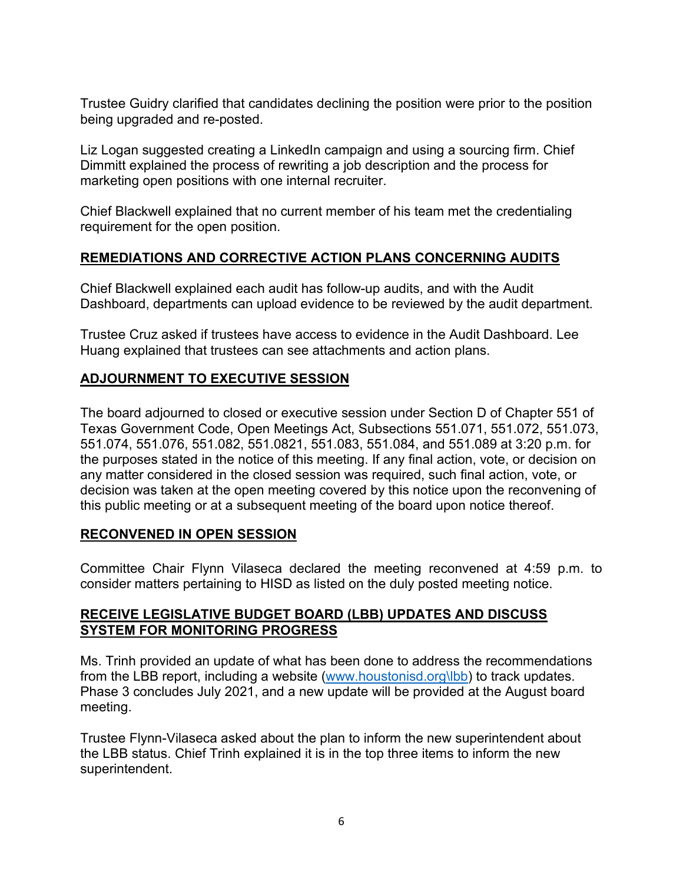Trustee Guidry clarified that candidates declining the position were prior to the position being upgraded and re-posted.

Liz Logan suggested creating a LinkedIn campaign and using a sourcing firm. Chief Dimmitt explained the process of rewriting a job description and the process for marketing open positions with one internal recruiter.

Chief Blackwell explained that no current member of his team met the credentialing requirement for the open position.

## **REMEDIATIONS AND CORRECTIVE ACTION PLANS CONCERNING AUDITS**

Chief Blackwell explained each audit has follow-up audits, and with the Audit Dashboard, departments can upload evidence to be reviewed by the audit department.

Trustee Cruz asked if trustees have access to evidence in the Audit Dashboard. Lee Huang explained that trustees can see attachments and action plans.

## **ADJOURNMENT TO EXECUTIVE SESSION**

The board adjourned to closed or executive session under Section D of Chapter 551 of Texas Government Code, Open Meetings Act, Subsections 551.071, 551.072, 551.073, 551.074, 551.076, 551.082, 551.0821, 551.083, 551.084, and 551.089 at 3:20 p.m. for the purposes stated in the notice of this meeting. If any final action, vote, or decision on any matter considered in the closed session was required, such final action, vote, or decision was taken at the open meeting covered by this notice upon the reconvening of this public meeting or at a subsequent meeting of the board upon notice thereof.

### **RECONVENED IN OPEN SESSION**

Committee Chair Flynn Vilaseca declared the meeting reconvened at 4:59 p.m. to consider matters pertaining to HISD as listed on the duly posted meeting notice.

### **RECEIVE LEGISLATIVE BUDGET BOARD (LBB) UPDATES AND DISCUSS SYSTEM FOR MONITORING PROGRESS**

Ms. Trinh provided an update of what has been done to address the recommendations from the LBB report, including a website [\(www.houstonisd.org\lbb\)](http://www.houstonisd.org/lbb) to track updates. Phase 3 concludes July 2021, and a new update will be provided at the August board meeting.

Trustee Flynn-Vilaseca asked about the plan to inform the new superintendent about the LBB status. Chief Trinh explained it is in the top three items to inform the new superintendent.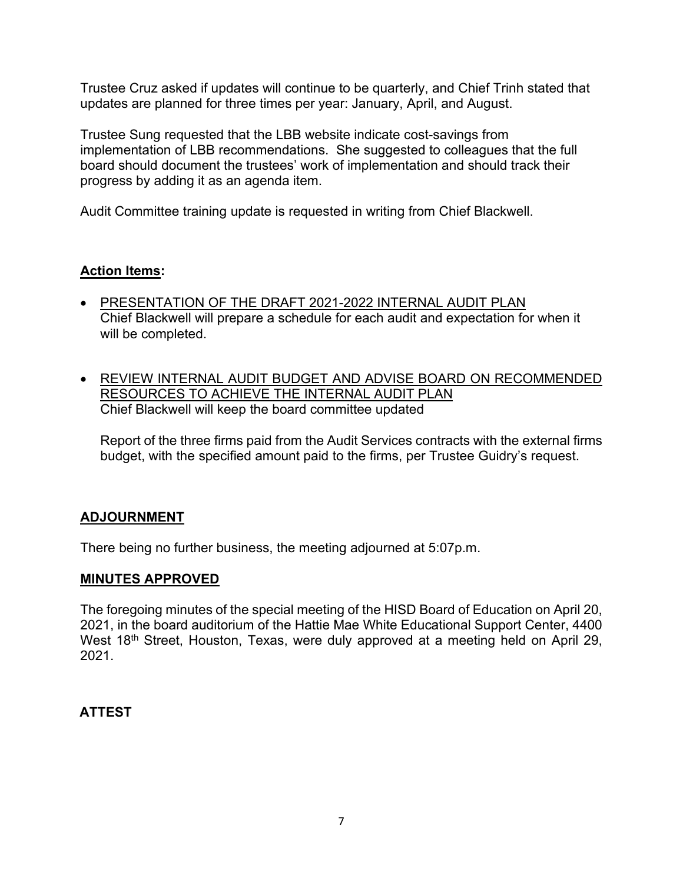Trustee Cruz asked if updates will continue to be quarterly, and Chief Trinh stated that updates are planned for three times per year: January, April, and August.

Trustee Sung requested that the LBB website indicate cost-savings from implementation of LBB recommendations. She suggested to colleagues that the full board should document the trustees' work of implementation and should track their progress by adding it as an agenda item.

Audit Committee training update is requested in writing from Chief Blackwell.

## **Action Items:**

- PRESENTATION OF THE DRAFT 2021-2022 INTERNAL AUDIT PLAN Chief Blackwell will prepare a schedule for each audit and expectation for when it will be completed.
- REVIEW INTERNAL AUDIT BUDGET AND ADVISE BOARD ON RECOMMENDED RESOURCES TO ACHIEVE THE INTERNAL AUDIT PLAN Chief Blackwell will keep the board committee updated

Report of the three firms paid from the Audit Services contracts with the external firms budget, with the specified amount paid to the firms, per Trustee Guidry's request.

### **ADJOURNMENT**

There being no further business, the meeting adjourned at 5:07p.m.

### **MINUTES APPROVED**

The foregoing minutes of the special meeting of the HISD Board of Education on April 20, 2021, in the board auditorium of the Hattie Mae White Educational Support Center, 4400 West 18<sup>th</sup> Street, Houston, Texas, were duly approved at a meeting held on April 29, 2021.

# **ATTEST**